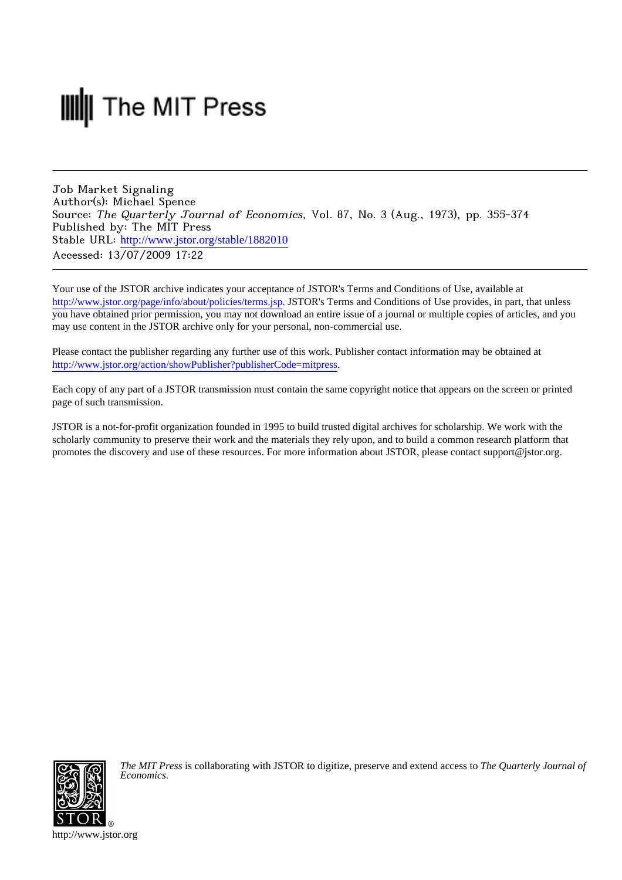# **III** The MIT Press

Job Market Signaling Author(s): Michael Spence Source: The Quarterly Journal of Economics, Vol. 87, No. 3 (Aug., 1973), pp. 355-374 Published by: The MIT Press Stable URL: [http://www.jstor.org/stable/1882010](http://www.jstor.org/stable/1882010?origin=JSTOR-pdf) Accessed: 13/07/2009 17:22

Your use of the JSTOR archive indicates your acceptance of JSTOR's Terms and Conditions of Use, available at <http://www.jstor.org/page/info/about/policies/terms.jsp>. JSTOR's Terms and Conditions of Use provides, in part, that unless you have obtained prior permission, you may not download an entire issue of a journal or multiple copies of articles, and you may use content in the JSTOR archive only for your personal, non-commercial use.

Please contact the publisher regarding any further use of this work. Publisher contact information may be obtained at [http://www.jstor.org/action/showPublisher?publisherCode=mitpress.](http://www.jstor.org/action/showPublisher?publisherCode=mitpress)

Each copy of any part of a JSTOR transmission must contain the same copyright notice that appears on the screen or printed page of such transmission.

JSTOR is a not-for-profit organization founded in 1995 to build trusted digital archives for scholarship. We work with the scholarly community to preserve their work and the materials they rely upon, and to build a common research platform that promotes the discovery and use of these resources. For more information about JSTOR, please contact support@jstor.org.



*The MIT Press* is collaborating with JSTOR to digitize, preserve and extend access to *The Quarterly Journal of Economics.*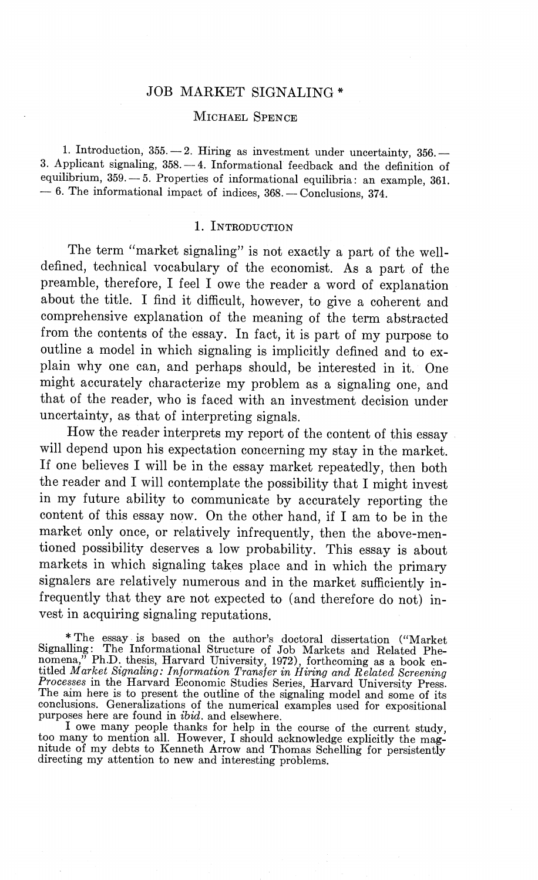## **JOB MARKET SIGNALING \***

## MICHAEL SPENCE

1. Introduction, 355. - 2. Hiring as investment under uncertainty, 356. -3. Applicant signaling, 358. - 4. Informational feedback and the definition of equilibrium, 359. -- 5. Properties of informational equilibria: an example, 361.  $-6$ . The informational impact of indices,  $368. -$  Conclusions,  $374.$ 

## 1. INTRODUCTION

The term "market signaling" is not exactly a part of the welldefined, technical vocabulary of the economist. As a part of the preamble, therefore, I feel I owe the reader a word of explanation about the title. I find it difficult, however, to give a coherent and comprehensive explanation of the meaning of the term abstracted from the contents of the essay. In fact, it is part of my purpose to outline a model in which signaling is implicitly defined and to explain why one can, and perhaps should, be interested in it. One might accurately characterize my problem as a signaling one, and that of the reader, who is faced with an investment decision under uncertainty, as that of interpreting signals.

How the reader interprets my report of the content of this essay will depend upon his expectation concerning my stay in the market. If one believes I will be in the essay market repeatedly, then both the reader and I will contemplate the possibility that I might invest in my future ability to communicate by accurately reporting the content of this essay now. On the other hand, if I am to be in the market only once, or relatively infrequently, then the above-mentioned possibility deserves a low probability. This essay is about markets in which signaling takes place and in which the primary signalers are relatively numerous and in the market sufficiently infrequently that they are not expected to (and therefore do not) invest in acquiring signaling reputations.

\* The essay is based on the author's doctoral dissertation ("Market Signalling: The Informational Structure of Job Markets and Related Phe-Signaling: The Informational Structure of Job Markets and Related Phe-<br>nomena," Ph.D. thesis, Harvard University, 1972), forthcoming as a book en-<br>titled *Market Signaling: Information Transfer in Hiring and Related Scree* 

purposes mere are round in total, and elsewhere.<br>I over many to mention all. However, I should acknowledge explicitly the magnitude of my debts to Kenneth Arrow and Thomas Schelling for persistently directing my attention to new and interesting problems.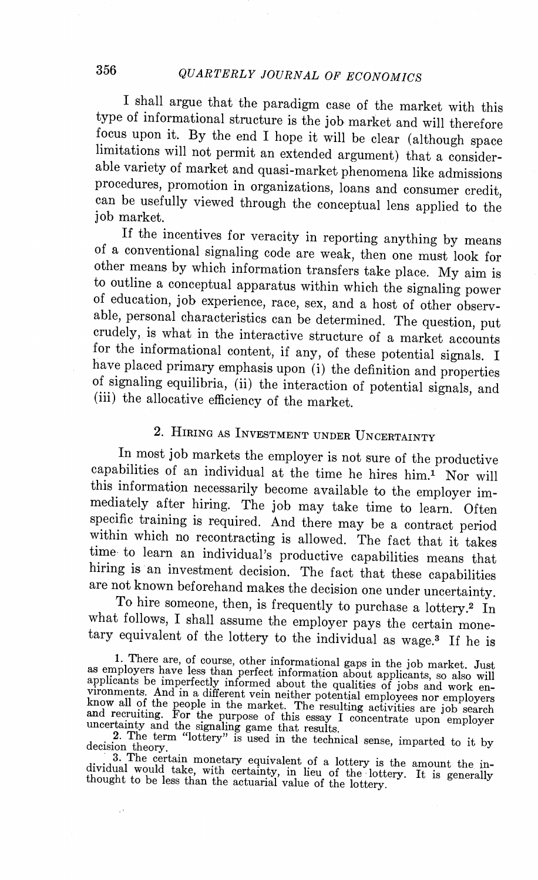I shall argue that the paradigm case of the market with this type of informational structure is the job market and will therefore focus upon it. By the end I hope it will be clear (although space limitations will not permit an extended argument) that a considerable variety of market and quasi-market phenomena like admissions procedures, promotion in organizations, loans and consumer credit, can be usefully viewed through the conceptual lens applied to the job market.

If the incentives for veracity in reporting anything by means of a conventional signaling code are weak, then one must look for other means by which information transfers take place. My aim is to outline a conceptual apparatus within which the signaling power of education, job experience, race, sex, and a host of other observable, personal characteristics can be determined. The question, put crudely, is what in the interactive structure of a market accounts for the informational content, if any, of these potential signals. I have placed primary emphasis upon (i) the definition and properties of signaling equilibria, (ii) the interaction of potential signals, and (iii) the allocative efficiency of the market.

# 2. HIRING AS INVESTMENT UNDER UNCERTAINTY

In most job markets the employer is not sure of the productive capabilities of an individual at the time he hires him.<sup>1</sup> Nor will this information necessarily become available to the employer immediately after hiring. The job may take time to learn. Often specific training is required. And there may be a contract period within which no recontracting is allowed. The fact that it takes time to learn an individual's productive capabilities means that hiring is an investment decision. The fact that these capabilities are not known beforehand makes the decision one under uncertainty.

To hire someone, then, is frequently to purchase a lottery.<sup>2</sup> In what follows, I shall assume the employer pays the certain monetary equivalent of the lottery to the individual as wage.<sup>3</sup> If he is

1. There are, of course, other informational gaps in the job market. Just as employers have less than perfect information about applicants, so also will applicants be imperfectly informed about the qualities of jobs and work enapplicants be imperiectly informed about the qualities of jobs and work environments. And in a different vein neither potential employees nor employers know all of the people in the market. The resulting activities are job

decision theory. A wave mean common comparison theory. The certain monetary equivalent of a lottery is the amount the individual would take, with certainty, in lieu of the lottery. It is generally thought to be less than t

Ţ.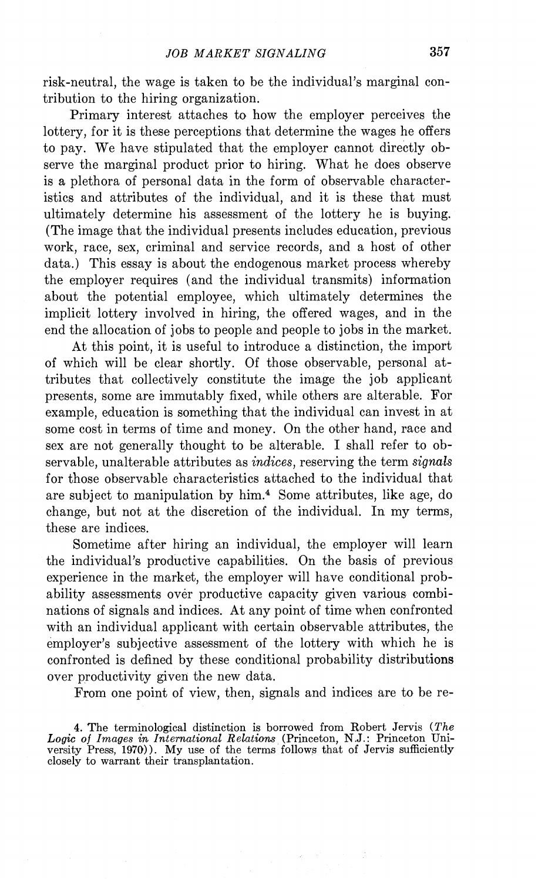risk-neutral, the wage is taken to be the individual's marginal contribution to the hiring organization.

Primary interest attaches to how the employer perceives the lottery, for it is these perceptions that determine the wages he offers to pay. We have stipulated that the employer cannot directly observe the marginal product prior to hiring. What he does observe is a plethora of personal data in the form of observable characteristics and attributes of the individual, and it is these that must ultimately determine his assessment of the lottery he is buying. (The image that the individual presents includes education, previous) work, race, sex, criminal and service records, and a host of other data.) This essay is about the endogenous market process whereby the employer requires (and the individual transmits) information about the potential employee, which ultimately determines the implicit lottery involved in hiring, the offered wages, and in the end the allocation of jobs to people and people to jobs in the market.

At this point, it is useful to introduce a distinction, the import of which will be clear shortly. Of those observable, personal attributes that collectively constitute the image the job applicant presents, some are immutably fixed, while others are alterable. For example, education is something that the individual can invest in at some cost in terms of time and money. On the other hand, race and sex are not generally thought to be alterable. I shall refer to observable, unalterable attributes as *indices*, reserving the term *signals* for those observable characteristics attached to the individual that are subject to manipulation by him.<sup>4</sup> Some attributes, like age, do change, but not at the discretion of the individual. In my terms, these are indices.

Sometime after hiring an individual, the employer will learn the individual's productive capabilities. On the basis of previous experience in the market, the employer will have conditional probability assessments over productive capacity given various combinations of signals and indices. At any point of time when confronted with an individual applicant with certain observable attributes, the employer's subjective assessment of the lottery with which he is confronted is defined by these conditional probability distributions over productivity given the new data.

From one point of view, then, signals and indices are to be re-

<sup>4.</sup> The terminological distinction is borrowed from Robert Jervis (The Logic of Images in International Relations (Princeton, N.J.: Princeton University Press, 1970)). My use of the terms follows that of Jervis sufficiently closely to warrant their transplantation.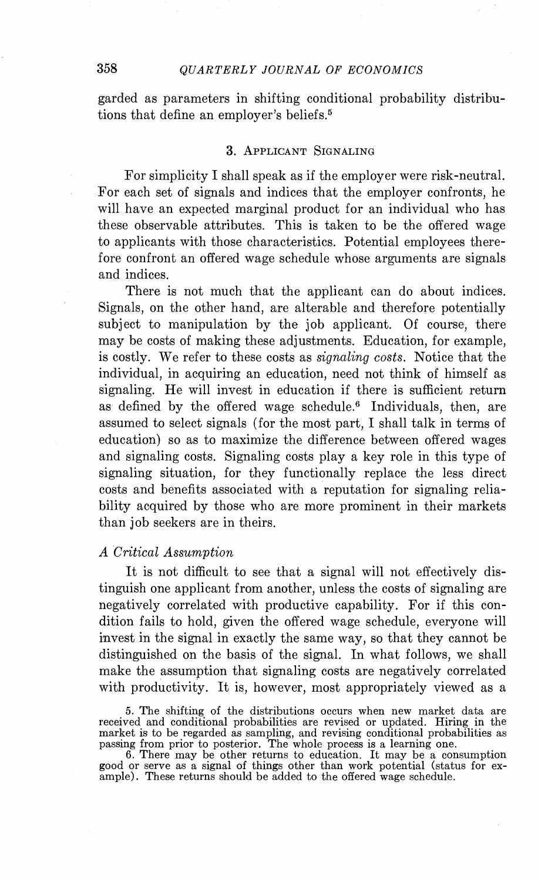garded as parameters in shifting conditional probability distributions that define an employer's beliefs.<sup>5</sup>

## 3. APPLICANT SIGNALING

For simplicity I shall speak as if the employer were risk-neutral. For each set of signals and indices that the employer confronts, he will have an expected marginal product for an individual who has these observable attributes. This is taken to be the offered wage to applicants with those characteristics. Potential employees therefore confront an offered wage schedule whose arguments are signals and indices

There is not much that the applicant can do about indices. Signals, on the other hand, are alterable and therefore potentially subject to manipulation by the job applicant. Of course, there may be costs of making these adjustments. Education, for example, is costly. We refer to these costs as *signaling costs*. Notice that the individual, in acquiring an education, need not think of himself as signaling. He will invest in education if there is sufficient return as defined by the offered wage schedule.<sup>6</sup> Individuals, then, are assumed to select signals (for the most part, I shall talk in terms of education) so as to maximize the difference between offered wages and signaling costs. Signaling costs play a key role in this type of signaling situation, for they functionally replace the less direct costs and benefits associated with a reputation for signaling reliability acquired by those who are more prominent in their markets than job seekers are in theirs.

## A Critical Assumption

It is not difficult to see that a signal will not effectively distinguish one applicant from another, unless the costs of signaling are negatively correlated with productive capability. For if this condition fails to hold, given the offered wage schedule, everyone will invest in the signal in exactly the same way, so that they cannot be distinguished on the basis of the signal. In what follows, we shall make the assumption that signaling costs are negatively correlated with productivity. It is, however, most appropriately viewed as a

5. The shifting of the distributions occurs when new market data are received and conditional probabilities are revised or updated. Hiring in the market is to be regarded as sampling, and revising conditional probabilitie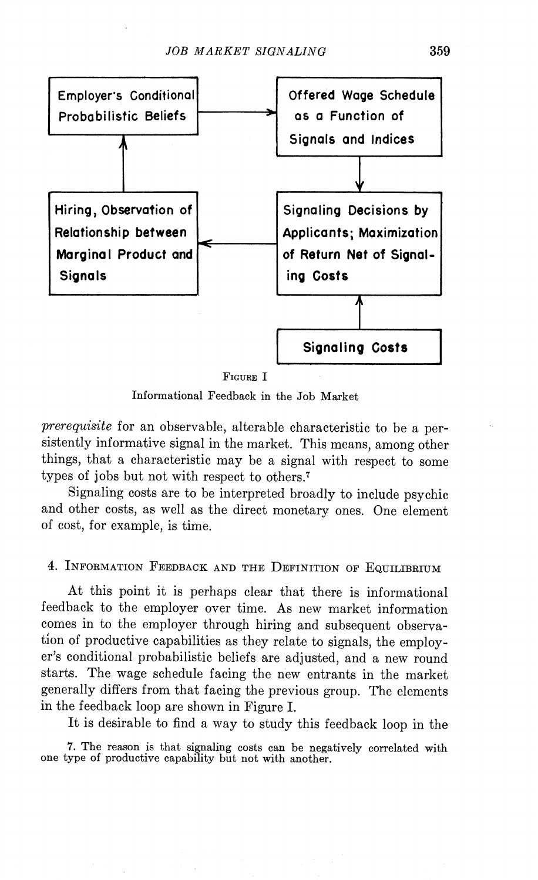

FIGURE I

Informational Feedback in the Job Market

*prerequisite* for an observable, alterable characteristic to be a persistently informative signal in the market. This means, among other things, that a characteristic may be a signal with respect to some types of jobs but not with respect to others.<sup>7</sup>

Signaling costs are to be interpreted broadly to include psychic and other costs, as well as the direct monetary ones. One element of cost, for example, is time.

## 4. INFORMATION FEEDBACK AND THE DEFINITION OF EQUILIBRIUM

At this point it is perhaps clear that there is informational feedback to the employer over time. As new market information comes in to the employer through hiring and subsequent observation of productive capabilities as they relate to signals, the employer's conditional probabilistic beliefs are adjusted, and a new round starts. The wage schedule facing the new entrants in the market generally differs from that facing the previous group. The elements in the feedback loop are shown in Figure I.

It is desirable to find a way to study this feedback loop in the

7. The reason is that signaling costs can be negatively correlated with one type of productive capability but not with another.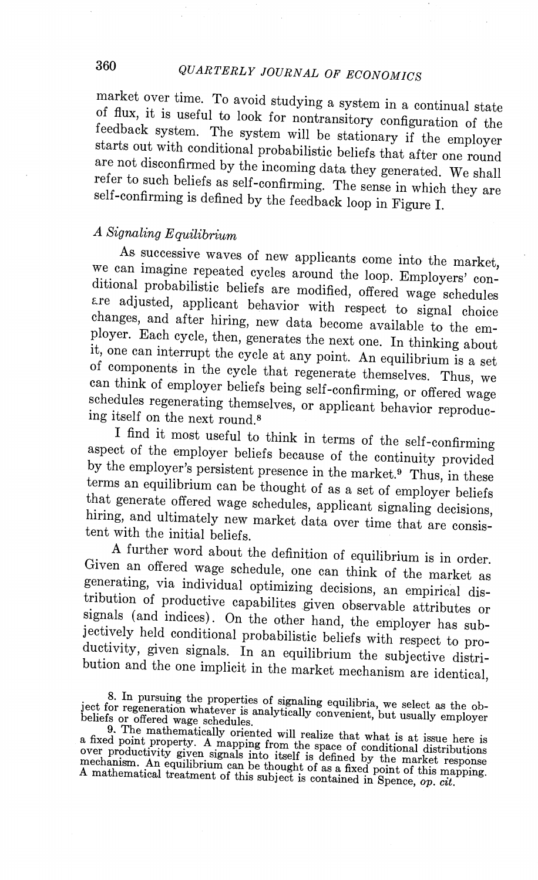market over time. To avoid studying a system in a continual state of flux, it is useful to look for nontransitory configuration of the feedback system. The system will be stationary if the employer starts out with conditional probabilistic beliefs that after one round are not disconfirmed by the incoming data they generated. We shall refer to such beliefs as self-confirming. The sense in which they are self-confirming is defined by the feedback loop in Figure I.

## A Signaling Equilibrium

As successive waves of new applicants come into the market, we can imagine repeated cycles around the loop. Employers' conditional probabilistic beliefs are modified, offered wage schedules are adjusted, applicant behavior with respect to signal choice changes, and after hiring, new data become available to the employer. Each cycle, then, generates the next one. In thinking about it, one can interrupt the cycle at any point. An equilibrium is a set of components in the cycle that regenerate themselves. Thus, we can think of employer beliefs being self-confirming, or offered wage schedules regenerating themselves, or applicant behavior reproducing itself on the next round.<sup>8</sup>

I find it most useful to think in terms of the self-confirming aspect of the employer beliefs because of the continuity provided by the employer's persistent presence in the market.<sup>9</sup> Thus, in these terms an equilibrium can be thought of as a set of employer beliefs that generate offered wage schedules, applicant signaling decisions, hiring, and ultimately new market data over time that are consistent with the initial beliefs.

A further word about the definition of equilibrium is in order. Given an offered wage schedule, one can think of the market as generating, via individual optimizing decisions, an empirical distribution of productive capabilites given observable attributes or signals (and indices). On the other hand, the employer has subjectively held conditional probabilistic beliefs with respect to productivity, given signals. In an equilibrium the subjective distribution and the one implicit in the market mechanism are identical,

8. In pursuing the properties of signaling equilibria, we select as the object for regeneration whatever is analytically convenient, but usually employer beliefs or offered wage schedules.

9. The mathematically oriented will realize that what is at issue here is a fixed point property. A mapping from the space of conditional distributions<br>over productivity given signals into itself is defined by the market response<br>mechanism. An equilibrium can be thought of as a fixed point of th A mathematical treatment of this subject is contained in Spence, op. cit.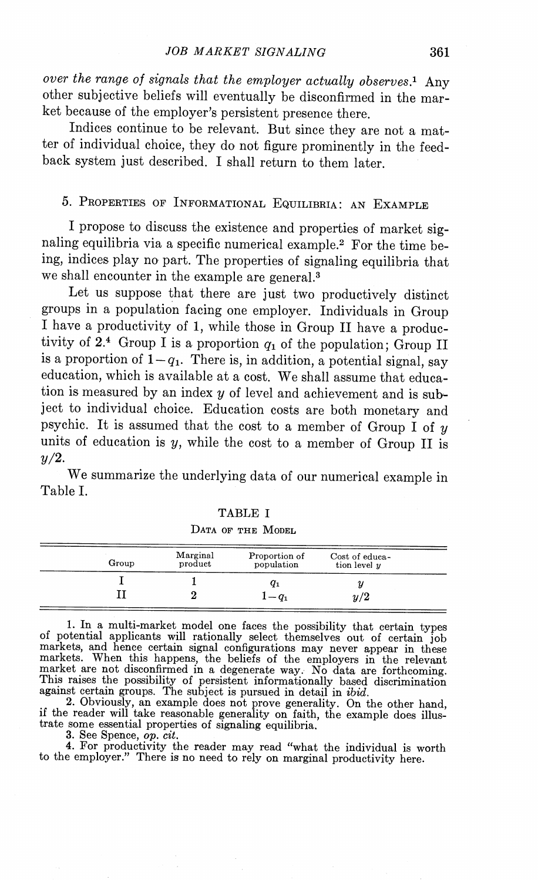over the range of signals that the employer actually observes.<sup>1</sup> Any other subjective beliefs will eventually be disconfirmed in the market because of the employer's persistent presence there.

Indices continue to be relevant. But since they are not a matter of individual choice, they do not figure prominently in the feedback system just described. I shall return to them later.

## 5. PROPERTIES OF INFORMATIONAL EQUILIBRIA: AN EXAMPLE

I propose to discuss the existence and properties of market signaling equilibria via a specific numerical example.<sup>2</sup> For the time being, indices play no part. The properties of signaling equilibria that we shall encounter in the example are general.<sup>3</sup>

Let us suppose that there are just two productively distinct groups in a population facing one employer. Individuals in Group I have a productivity of 1, while those in Group II have a productivity of  $2.4$  Group I is a proportion  $q_1$  of the population; Group II is a proportion of  $1-q_1$ . There is, in addition, a potential signal, say education, which is available at a cost. We shall assume that education is measured by an index  $y$  of level and achievement and is subject to individual choice. Education costs are both monetary and psychic. It is assumed that the cost to a member of Group I of  $y$ units of education is  $y$ , while the cost to a member of Group II is  $y/2$ .

We summarize the underlying data of our numerical example in Table L.

| Group | Marginal<br>product | Proportion of<br>population | Cost of educa-<br>tion level $y$ |
|-------|---------------------|-----------------------------|----------------------------------|
|       |                     | ч1                          |                                  |
|       |                     | $1-q_1$                     | y/2                              |

TABLE I DATA OF THE MODEL

1. In a multi-market model one faces the possibility that certain types of potential applicants will rationally select themselves out of certain job or potential approximately will rationary select themselves out of certain igno<br>markets, and hence certain signal configurations may never appear in these<br>markets. When this happens, the beliefs of the employers in the rel

2. Obviously, an example does not prove generality. On the other hand, if the reader will take reasonable generality on faith, the example does illustrate some essential properties of signaling equilibria.

3. See Spence, op. cit.

4. For productivity the reader may read "what the individual is worth<br>to the employer." There is no need to rely on marginal productivity here.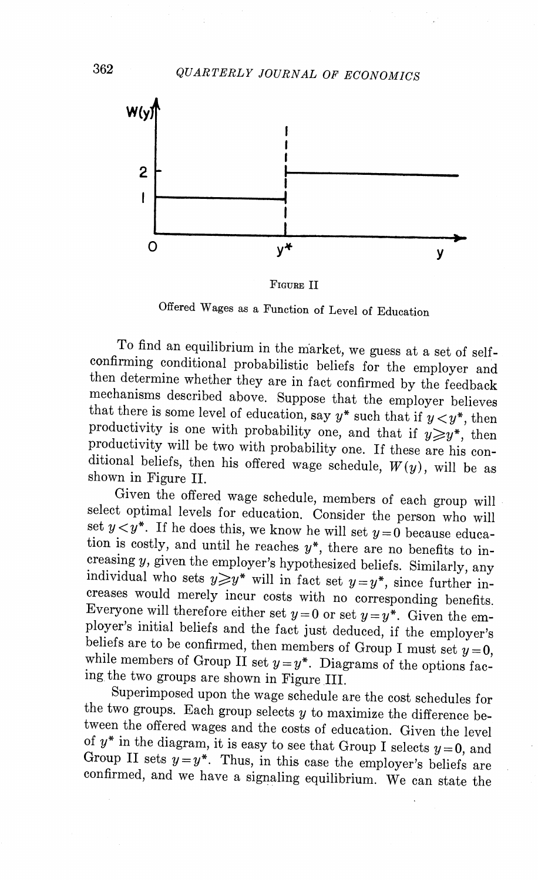

**FIGURE II** 

Offered Wages as a Function of Level of Education

To find an equilibrium in the market, we guess at a set of selfconfirming conditional probabilistic beliefs for the employer and then determine whether they are in fact confirmed by the feedback mechanisms described above. Suppose that the employer believes that there is some level of education, say  $y^*$  such that if  $y < y^*$ , then productivity is one with probability one, and that if  $y \geq y^*$ , then productivity will be two with probability one. If these are his conditional beliefs, then his offered wage schedule,  $W(y)$ , will be as shown in Figure II.

Given the offered wage schedule, members of each group will select optimal levels for education. Consider the person who will set  $y < y^*$ . If he does this, we know he will set  $y = 0$  because education is costly, and until he reaches  $y^*$ , there are no benefits to increasing  $y$ , given the employer's hypothesized beliefs. Similarly, any individual who sets  $y \ge y^*$  will in fact set  $y = y^*$ , since further increases would merely incur costs with no corresponding benefits. Everyone will therefore either set  $y=0$  or set  $y=y^*$ . Given the employer's initial beliefs and the fact just deduced, if the employer's beliefs are to be confirmed, then members of Group I must set  $y=0$ , while members of Group II set  $y=y^*$ . Diagrams of the options facing the two groups are shown in Figure III.

Superimposed upon the wage schedule are the cost schedules for the two groups. Each group selects  $y$  to maximize the difference between the offered wages and the costs of education. Given the level of  $y^*$  in the diagram, it is easy to see that Group I selects  $y=0$ , and Group II sets  $y = y^*$ . Thus, in this case the employer's beliefs are confirmed, and we have a signaling equilibrium. We can state the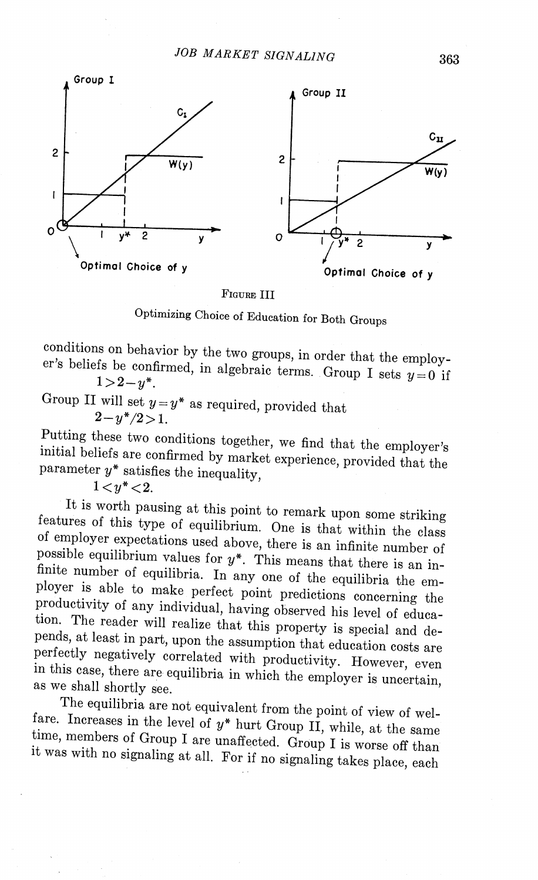

## FIGURE III

Optimizing Choice of Education for Both Groups

conditions on behavior by the two groups, in order that the employer's beliefs be confirmed, in algebraic terms. Group I sets  $y=0$  if

 $1 > 2 - y^*$ .

Group II will set  $y=y^*$  as required, provided that  $2 - y^*/2 > 1$ .

Putting these two conditions together, we find that the employer's initial beliefs are confirmed by market experience, provided that the parameter  $y^*$  satisfies the inequality,

 $1 < y^* < 2$ .

It is worth pausing at this point to remark upon some striking features of this type of equilibrium. One is that within the class of employer expectations used above, there is an infinite number of possible equilibrium values for  $y^*$ . This means that there is an infinite number of equilibria. In any one of the equilibria the employer is able to make perfect point predictions concerning the productivity of any individual, having observed his level of education. The reader will realize that this property is special and depends, at least in part, upon the assumption that education costs are perfectly negatively correlated with productivity. However, even in this case, there are equilibria in which the employer is uncertain, as we shall shortly see.

The equilibria are not equivalent from the point of view of welfare. Increases in the level of  $y^*$  hurt Group II, while, at the same time, members of Group I are unaffected. Group I is worse off than it was with no signaling at all. For if no signaling takes place, each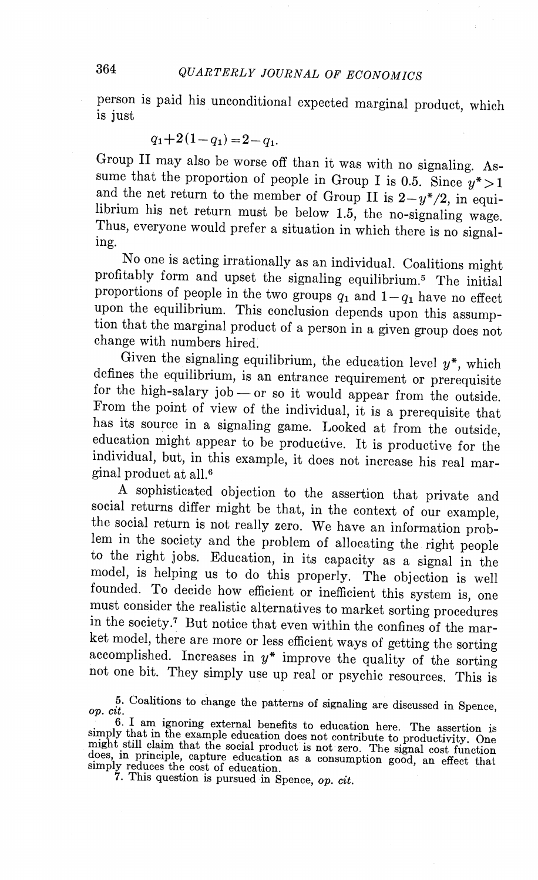person is paid his unconditional expected marginal product, which is just

 $q_1+2(1-q_1)=2-q_1$ .

Group II may also be worse off than it was with no signaling. Assume that the proportion of people in Group I is 0.5. Since  $y^*$  > 1 and the net return to the member of Group II is  $2-y^*/2$ , in equilibrium his net return must be below 1.5, the no-signaling wage. Thus, everyone would prefer a situation in which there is no signaling.

No one is acting irrationally as an individual. Coalitions might profitably form and upset the signaling equilibrium.<sup>5</sup> The initial proportions of people in the two groups  $q_1$  and  $1-q_1$  have no effect upon the equilibrium. This conclusion depends upon this assumption that the marginal product of a person in a given group does not change with numbers hired.

Given the signaling equilibrium, the education level  $y^*$ , which defines the equilibrium, is an entrance requirement or prerequisite for the high-salary job - or so it would appear from the outside. From the point of view of the individual, it is a prerequisite that has its source in a signaling game. Looked at from the outside, education might appear to be productive. It is productive for the individual, but, in this example, it does not increase his real marginal product at all.<sup>6</sup>

A sophisticated objection to the assertion that private and social returns differ might be that, in the context of our example, the social return is not really zero. We have an information problem in the society and the problem of allocating the right people to the right jobs. Education, in its capacity as a signal in the model, is helping us to do this properly. The objection is well founded. To decide how efficient or inefficient this system is, one must consider the realistic alternatives to market sorting procedures in the society.7 But notice that even within the confines of the market model, there are more or less efficient ways of getting the sorting accomplished. Increases in  $y^*$  improve the quality of the sorting not one bit. They simply use up real or psychic resources. This is

364

<sup>5.</sup> Coalitions to change the patterns of signaling are discussed in Spence, op. cit.

<sup>6.</sup> I am ignoring external benefits to education here. The assertion is simply that in the example education does not contribute to productivity. One might still claim that the social product is not zero. The signal cost function does, in principle, capture education as a consumption good, an effect that simply reduces the cost of education.

<sup>7.</sup> This question is pursued in Spence, op. cit.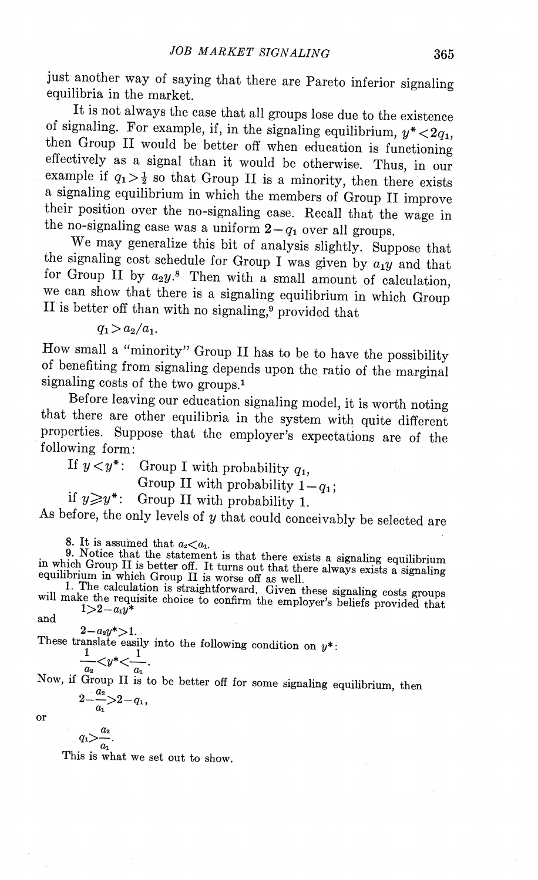just another way of saying that there are Pareto inferior signaling equilibria in the market.

It is not always the case that all groups lose due to the existence of signaling. For example, if, in the signaling equilibrium,  $y^* < 2q_1$ , then Group II would be better off when education is functioning effectively as a signal than it would be otherwise. Thus, in our example if  $q_1 > \frac{1}{2}$  so that Group II is a minority, then there exists a signaling equilibrium in which the members of Group II improve their position over the no-signaling case. Recall that the wage in the no-signaling case was a uniform  $2 - q_1$  over all groups.

We may generalize this bit of analysis slightly. Suppose that the signaling cost schedule for Group I was given by  $a_1y$  and that for Group II by  $a_2y$ .<sup>8</sup> Then with a small amount of calculation, we can show that there is a signaling equilibrium in which Group II is better off than with no signaling,<sup>9</sup> provided that

 $q_1 > a_2/a_1$ .

How small a "minority" Group II has to be to have the possibility of benefiting from signaling depends upon the ratio of the marginal signaling costs of the two groups.<sup>1</sup>

Before leaving our education signaling model, it is worth noting that there are other equilibria in the system with quite different properties. Suppose that the employer's expectations are of the following form:

If  $y < y^*$ : Group I with probability  $q_1$ ,

Group II with probability  $1-q_1$ ;

if  $u \geq y^*$ : Group II with probability 1.

As before, the only levels of  $y$  that could conceivably be selected are

8. It is assumed that  $a_2 < a_1$ .

9. Notice that the statement is that there exists a signaling equilibrium in which Group II is better off. It turns out that there always exists a signaling equilibrium in which Group II is worse off as well.

1. The calculation is straightforward. Given these signaling costs groups will make the requisite choice to confirm the employer's beliefs provided that  $1 > 2 - a_1 y^*$ and

 $2 - a_2 y^* > 1$ .

These translate easily into the following condition on  $y^*$ :

$$
\frac{1}{a_2} < y^* < \frac{1}{a_1}.
$$

Now, if Group II is to be better off for some signaling equilibrium, then  $2-\frac{a_2}{2}>2-q_1$ 

$$
a_1
$$

 $\alpha$ r

 $q_1 > \frac{a_2}{a_1}.$ 

This is what we set out to show.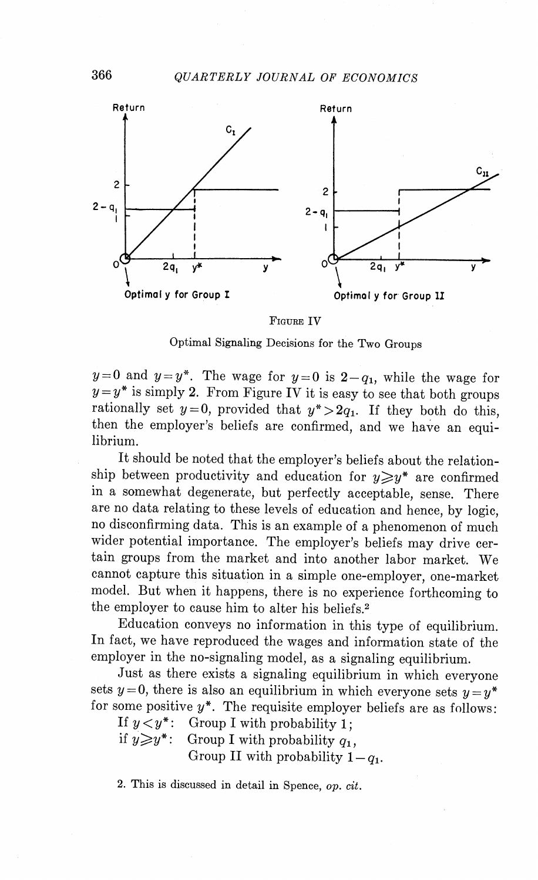

**FIGURE IV** 

Optimal Signaling Decisions for the Two Groups

 $y=0$  and  $y=y^*$ . The wage for  $y=0$  is  $2-q_1$ , while the wage for  $y = y^*$  is simply 2. From Figure IV it is easy to see that both groups rationally set  $y=0$ , provided that  $y^* > 2q_1$ . If they both do this, then the employer's beliefs are confirmed, and we have an equilibrium.

It should be noted that the employer's beliefs about the relationship between productivity and education for  $y \geq y^*$  are confirmed in a somewhat degenerate, but perfectly acceptable, sense. There are no data relating to these levels of education and hence, by logic, no disconfirming data. This is an example of a phenomenon of much wider potential importance. The employer's beliefs may drive certain groups from the market and into another labor market. We cannot capture this situation in a simple one-employer, one-market model. But when it happens, there is no experience forthcoming to the employer to cause him to alter his beliefs.<sup>2</sup>

Education conveys no information in this type of equilibrium. In fact, we have reproduced the wages and information state of the employer in the no-signaling model, as a signaling equilibrium.

Just as there exists a signaling equilibrium in which everyone sets  $y=0$ , there is also an equilibrium in which everyone sets  $y=y^*$ for some positive  $y^*$ . The requisite employer beliefs are as follows:

If  $y < y^*$ : Group I with probability 1;

if  $u \geq y^*$ : Group I with probability  $q_1$ , Group II with probability  $1-q_1$ .

2. This is discussed in detail in Spence, op.  $cit.$ 

366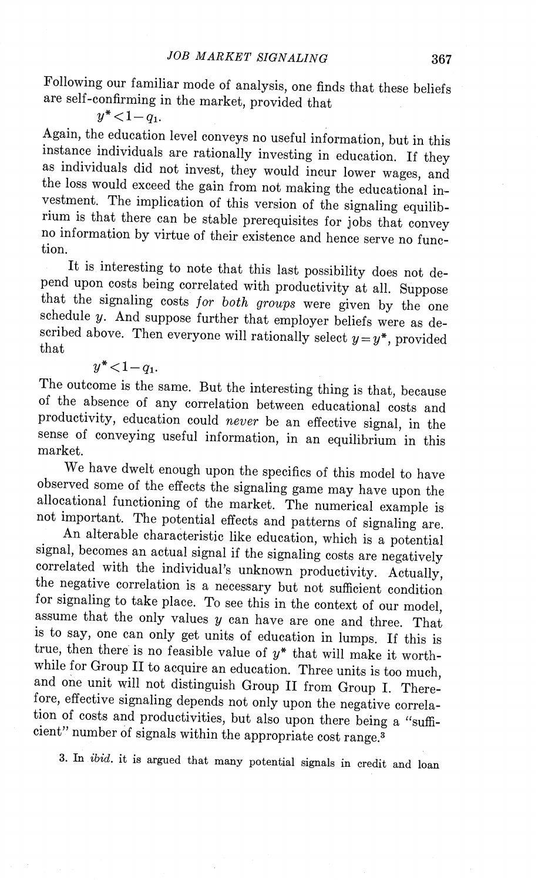Following our familiar mode of analysis, one finds that these beliefs are self-confirming in the market, provided that

 $y^*$  < 1 -  $q_1$ .

Again, the education level conveys no useful information, but in this instance individuals are rationally investing in education. If they as individuals did not invest, they would incur lower wages, and the loss would exceed the gain from not making the educational investment. The implication of this version of the signaling equilibrium is that there can be stable prerequisites for jobs that convey no information by virtue of their existence and hence serve no function.

It is interesting to note that this last possibility does not depend upon costs being correlated with productivity at all. Suppose that the signaling costs for both groups were given by the one schedule y. And suppose further that employer beliefs were as described above. Then everyone will rationally select  $y = y^*$ , provided that

$$
y^*{<}1{-}q_1.
$$

The outcome is the same. But the interesting thing is that, because of the absence of any correlation between educational costs and productivity, education could never be an effective signal, in the sense of conveying useful information, in an equilibrium in this market.

We have dwelt enough upon the specifics of this model to have observed some of the effects the signaling game may have upon the allocational functioning of the market. The numerical example is not important. The potential effects and patterns of signaling are.

An alterable characteristic like education, which is a potential signal, becomes an actual signal if the signaling costs are negatively correlated with the individual's unknown productivity. Actually, the negative correlation is a necessary but not sufficient condition for signaling to take place. To see this in the context of our model, assume that the only values  $y$  can have are one and three. That is to say, one can only get units of education in lumps. If this is true, then there is no feasible value of  $y^*$  that will make it worthwhile for Group II to acquire an education. Three units is too much, and one unit will not distinguish Group II from Group I. Therefore, effective signaling depends not only upon the negative correlation of costs and productivities, but also upon there being a "sufficient" number of signals within the appropriate cost range.<sup>3</sup>

3. In *ibid*, it is argued that many potential signals in credit and loan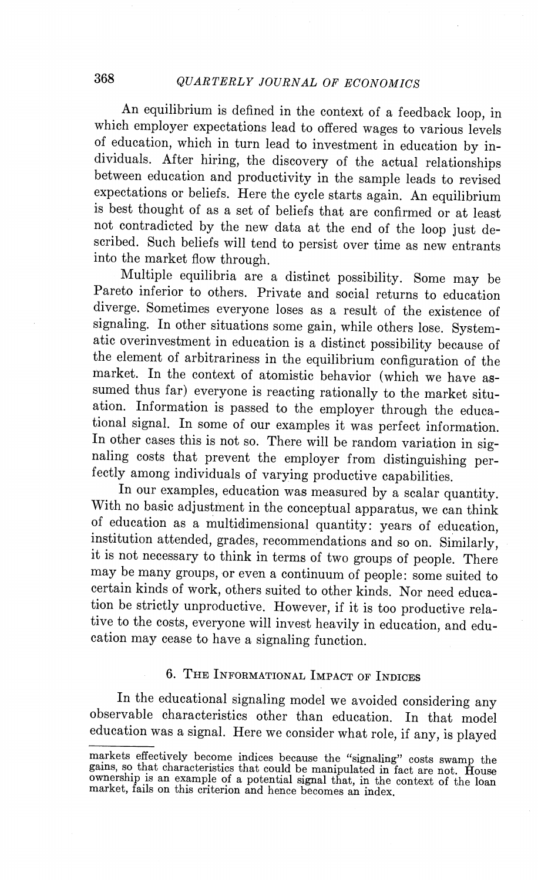An equilibrium is defined in the context of a feedback loop, in which employer expectations lead to offered wages to various levels of education, which in turn lead to investment in education by individuals. After hiring, the discovery of the actual relationships between education and productivity in the sample leads to revised expectations or beliefs. Here the cycle starts again. An equilibrium is best thought of as a set of beliefs that are confirmed or at least not contradicted by the new data at the end of the loop just described. Such beliefs will tend to persist over time as new entrants into the market flow through.

Multiple equilibria are a distinct possibility. Some may be Pareto inferior to others. Private and social returns to education diverge. Sometimes everyone loses as a result of the existence of signaling. In other situations some gain, while others lose. Systematic overinvestment in education is a distinct possibility because of the element of arbitrariness in the equilibrium configuration of the market. In the context of atomistic behavior (which we have assumed thus far) everyone is reacting rationally to the market situation. Information is passed to the employer through the educational signal. In some of our examples it was perfect information. In other cases this is not so. There will be random variation in signaling costs that prevent the employer from distinguishing perfectly among individuals of varying productive capabilities.

In our examples, education was measured by a scalar quantity. With no basic adjustment in the conceptual apparatus, we can think of education as a multidimensional quantity: years of education, institution attended, grades, recommendations and so on. Similarly, it is not necessary to think in terms of two groups of people. There may be many groups, or even a continuum of people: some suited to certain kinds of work, others suited to other kinds. Nor need education be strictly unproductive. However, if it is too productive relative to the costs, everyone will invest heavily in education, and education may cease to have a signaling function.

## 6. THE INFORMATIONAL IMPACT OF INDICES

In the educational signaling model we avoided considering any observable characteristics other than education. In that model education was a signal. Here we consider what role, if any, is played

markets effectively become indices because the "signaling" costs swamp the gains, so that characteristics that could be manipulated in fact are not. House ownership is an example of a potential signal that, in the context market, fails on this criterion and hence becomes an index.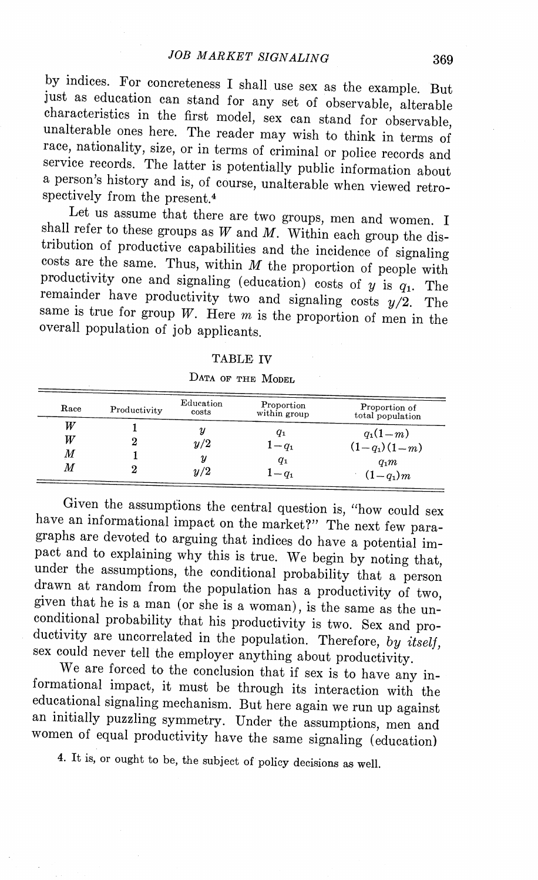by indices. For concreteness I shall use sex as the example. But just as education can stand for any set of observable, alterable characteristics in the first model, sex can stand for observable, unalterable ones here. The reader may wish to think in terms of race, nationality, size, or in terms of criminal or police records and service records. The latter is potentially public information about a person's history and is, of course, unalterable when viewed retrospectively from the present.<sup>4</sup>

Let us assume that there are two groups, men and women. I shall refer to these groups as  $W$  and  $M$ . Within each group the distribution of productive capabilities and the incidence of signaling costs are the same. Thus, within  $M$  the proportion of people with productivity one and signaling (education) costs of  $y$  is  $q_1$ . The remainder have productivity two and signaling costs  $y/2$ . The same is true for group  $W$ . Here  $m$  is the proportion of men in the overall population of job applicants.

| TABLE IV |  |  |                   |  |  |  |  |
|----------|--|--|-------------------|--|--|--|--|
|          |  |  | DATA OF THE MODEL |  |  |  |  |

| Race | Productivity | Education<br>costs | Proportion<br>within group | Proportion of<br>total population |
|------|--------------|--------------------|----------------------------|-----------------------------------|
| W    | 2            | υ                  | $q_{1}$                    | $q_1(1-m)$                        |
| W    |              | y/2                | $1 - q_1$                  | $(1-q_1)(1-m)$                    |
| M    |              | y                  | $q_{1}$                    | $q_1m$                            |
| М    |              | y/2                | $1 - q_1$                  | $(1-q_1)m$                        |

Given the assumptions the central question is, "how could sex have an informational impact on the market?" The next few paragraphs are devoted to arguing that indices do have a potential impact and to explaining why this is true. We begin by noting that, under the assumptions, the conditional probability that a person drawn at random from the population has a productivity of two, given that he is a man (or she is a woman), is the same as the unconditional probability that his productivity is two. Sex and productivity are uncorrelated in the population. Therefore, by itself, sex could never tell the employer anything about productivity.

We are forced to the conclusion that if sex is to have any informational impact, it must be through its interaction with the educational signaling mechanism. But here again we run up against an initially puzzling symmetry. Under the assumptions, men and women of equal productivity have the same signaling (education)

4. It is, or ought to be, the subject of policy decisions as well.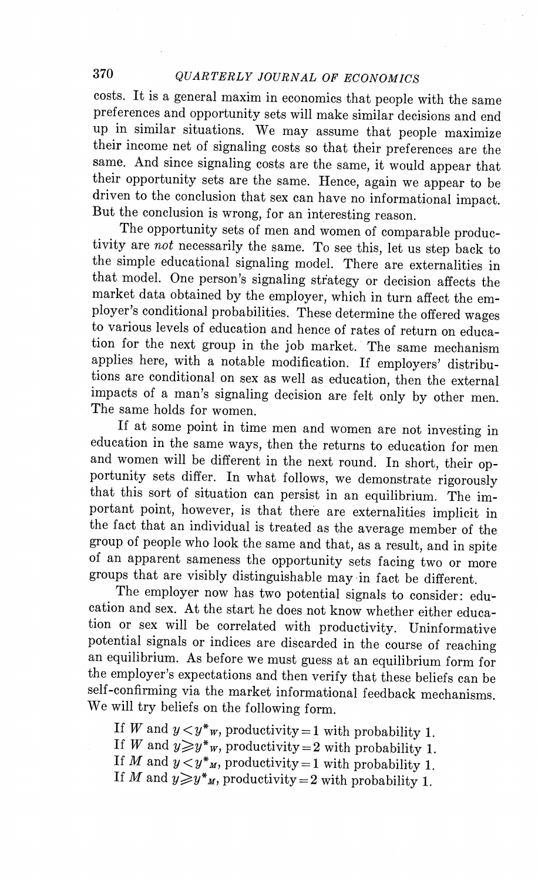#### 370 QUARTERLY JOURNAL OF ECONOMICS

costs. It is a general maxim in economics that people with the same preferences and opportunity sets will make similar decisions and end up in similar situations. We may assume that people maximize their income net of signaling costs so that their preferences are the same. And since signaling costs are the same, it would appear that their opportunity sets are the same. Hence, again we appear to be driven to the conclusion that sex can have no informational impact. But the conclusion is wrong, for an interesting reason.

The opportunity sets of men and women of comparable productivity are not necessarily the same. To see this, let us step back to the simple educational signaling model. There are externalities in that model. One person's signaling strategy or decision affects the market data obtained by the employer, which in turn affect the employer's conditional probabilities. These determine the offered wages to various levels of education and hence of rates of return on education for the next group in the job market. The same mechanism applies here, with a notable modification. If employers' distributions are conditional on sex as well as education, then the external impacts of a man's signaling decision are felt only by other men. The same holds for women.

If at some point in time men and women are not investing in education in the same ways, then the returns to education for men and women will be different in the next round. In short, their opportunity sets differ. In what follows, we demonstrate rigorously that this sort of situation can persist in an equilibrium. The important point, however, is that there are externalities implicit in the fact that an individual is treated as the average member of the group of people who look the same and that, as a result, and in spite of an apparent sameness the opportunity sets facing two or more groups that are visibly distinguishable may in fact be different.

The employer now has two potential signals to consider: education and sex. At the start he does not know whether either education or sex will be correlated with productivity. Uninformative potential signals or indices are discarded in the course of reaching an equilibrium. As before we must guess at an equilibrium form for the employer's expectations and then verify that these beliefs can be self-confirming via the market informational feedback mechanisms. We will try beliefs on the following form.

If W and  $y < y^*$ <sub>W</sub>, productivity = 1 with probability 1.

If W and  $y \geq y^*$ <sub>W</sub>, productivity = 2 with probability 1.

If M and  $y < y^*$ <sub>M</sub>, productivity = 1 with probability 1.

If M and  $y \ge y^*$ <sub>M</sub>, productivity = 2 with probability 1.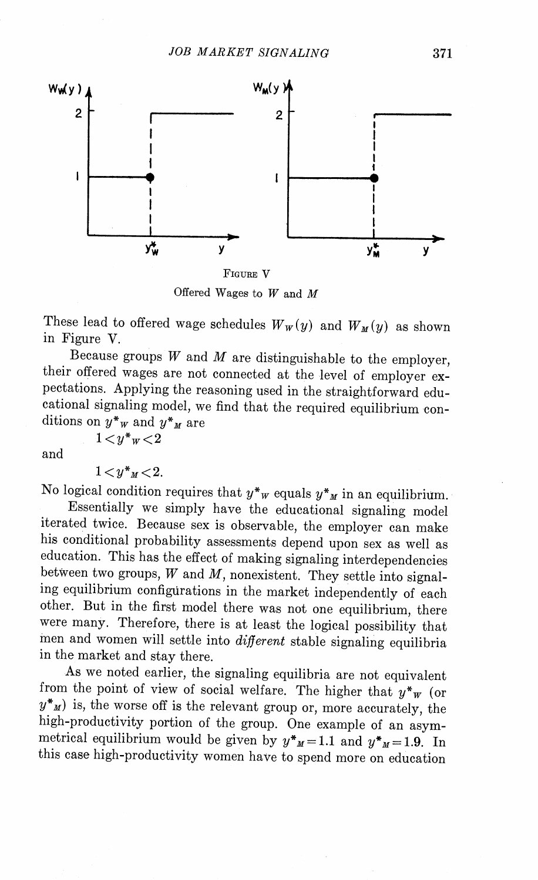

Offered Wages to  $W$  and  $M$ 

These lead to offered wage schedules  $W_w(y)$  and  $W_w(y)$  as shown in Figure V.

Because groups  $W$  and  $M$  are distinguishable to the employer, their offered wages are not connected at the level of employer expectations. Applying the reasoning used in the straightforward educational signaling model, we find that the required equilibrium conditions on  $y^*$ <sub>*w*</sub> and  $y^*$ <sub>*M*</sub> are

and

 $1 < y^*$ <sub>M</sub> $<$ 2.

 $1 \lt y^*$ <sub>W</sub> $\lt 2$ 

No logical condition requires that  $y^*$ <sub>*w*</sub> equals  $y^*$ <sub>*M*</sub> in an equilibrium.

Essentially we simply have the educational signaling model iterated twice. Because sex is observable, the employer can make his conditional probability assessments depend upon sex as well as education. This has the effect of making signaling interdependencies between two groups,  $W$  and  $M$ , nonexistent. They settle into signaling equilibrium configurations in the market independently of each other. But in the first model there was not one equilibrium, there were many. Therefore, there is at least the logical possibility that men and women will settle into *different* stable signaling equilibria in the market and stay there.

As we noted earlier, the signaling equilibria are not equivalent from the point of view of social welfare. The higher that  $y^*$ <sub>W</sub> (or  $y^*$ <sub>M</sub>) is, the worse off is the relevant group or, more accurately, the high-productivity portion of the group. One example of an asymmetrical equilibrium would be given by  $y^*_{M} = 1.1$  and  $y^*_{M} = 1.9$ . In this case high-productivity women have to spend more on education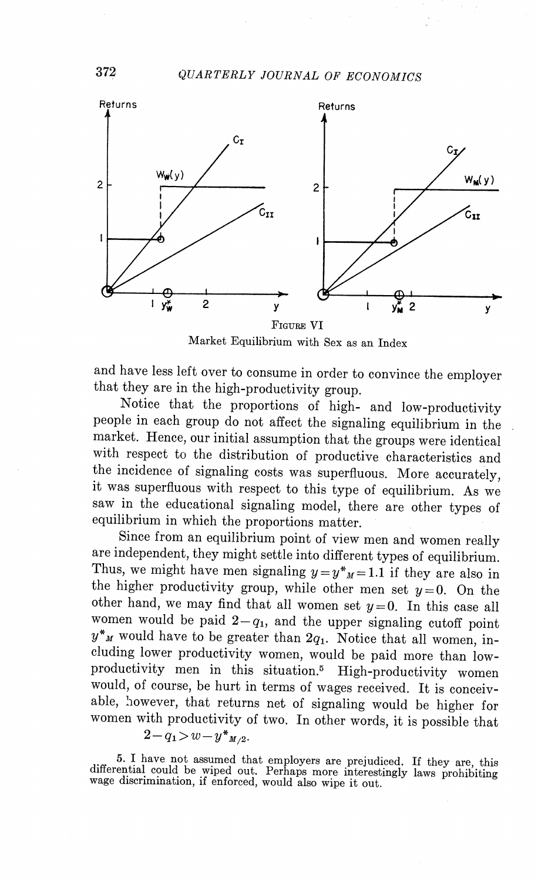

Market Equilibrium with Sex as an Index

and have less left over to consume in order to convince the employer that they are in the high-productivity group.

Notice that the proportions of high- and low-productivity people in each group do not affect the signaling equilibrium in the market. Hence, our initial assumption that the groups were identical with respect to the distribution of productive characteristics and the incidence of signaling costs was superfluous. More accurately, it was superfluous with respect to this type of equilibrium. As we saw in the educational signaling model, there are other types of equilibrium in which the proportions matter.

Since from an equilibrium point of view men and women really are independent, they might settle into different types of equilibrium. Thus, we might have men signaling  $y = y^* y = 1.1$  if they are also in the higher productivity group, while other men set  $y=0$ . On the other hand, we may find that all women set  $y=0$ . In this case all women would be paid  $2-q_1$ , and the upper signaling cutoff point  $y^*$ <sub>M</sub> would have to be greater than 2q<sub>1</sub>. Notice that all women, including lower productivity women, would be paid more than lowproductivity men in this situation.<sup>5</sup> High-productivity women would, of course, be hurt in terms of wages received. It is conceivable, however, that returns net of signaling would be higher for women with productivity of two. In other words, it is possible that

 $2 - q_1 > w - y^*_{M/2}.$ 

5. I have not assumed that employers are prejudiced. If they are, this differential could be wiped out. Perhaps more interestingly laws prohibiting wage discrimination, if enforced, would also wipe it out.

372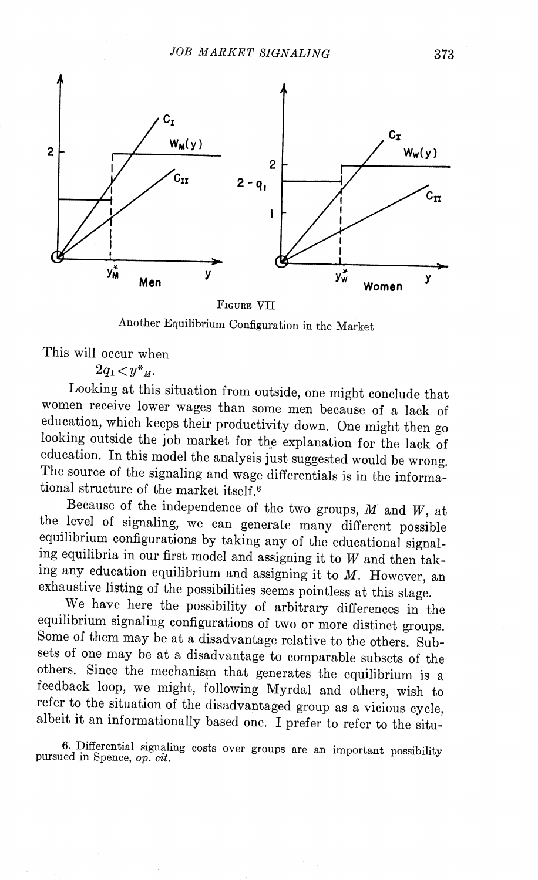

**FIGURE VII** 

Another Equilibrium Configuration in the Market

This will occur when

 $2q_1 < y^*_{M}.$ 

Looking at this situation from outside, one might conclude that women receive lower wages than some men because of a lack of education, which keeps their productivity down. One might then go looking outside the job market for the explanation for the lack of education. In this model the analysis just suggested would be wrong. The source of the signaling and wage differentials is in the informational structure of the market itself.<sup>6</sup>

Because of the independence of the two groups,  $M$  and  $W$ , at the level of signaling, we can generate many different possible equilibrium configurations by taking any of the educational signaling equilibria in our first model and assigning it to  $W$  and then taking any education equilibrium and assigning it to  $M$ . However, an exhaustive listing of the possibilities seems pointless at this stage.

We have here the possibility of arbitrary differences in the equilibrium signaling configurations of two or more distinct groups. Some of them may be at a disadvantage relative to the others. Subsets of one may be at a disadvantage to comparable subsets of the others. Since the mechanism that generates the equilibrium is a feedback loop, we might, following Myrdal and others, wish to refer to the situation of the disadvantaged group as a vicious cycle, albeit it an informationally based one. I prefer to refer to the situ-

6. Differential signaling costs over groups are an important possibility pursued in Spence, op. cit.